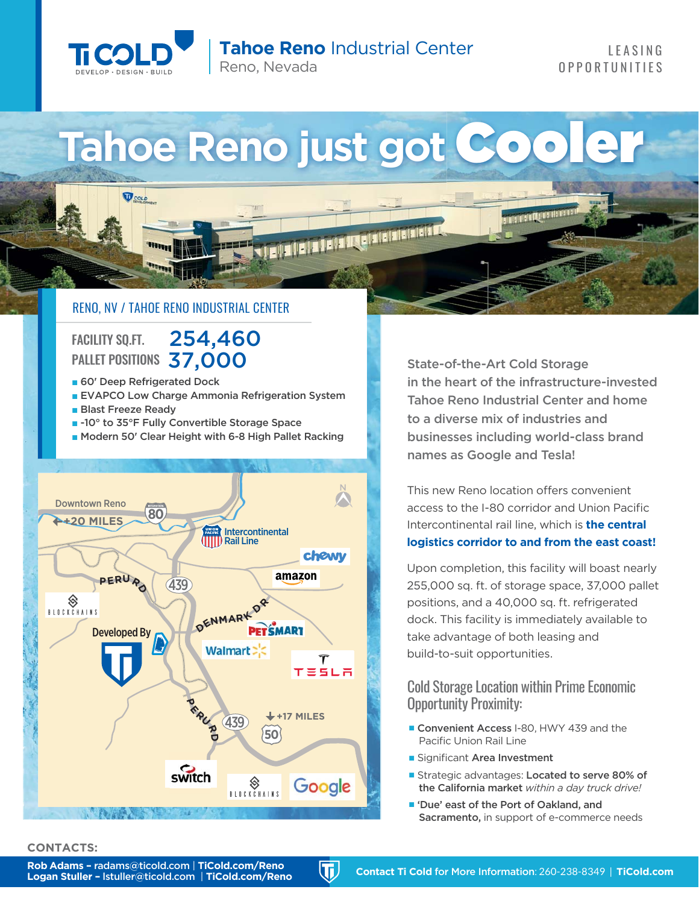

 $\mathbf{V}$ colo

**Tahoe Reno** Industrial Center Reno, Nevada

# Tahoe Reno just got Coo

11 24 34 24 34 34 3

## RENO, NV / TAHOE RENO INDUSTRIAL CENTER

FACILITY SQ.FT.254,460 PALLET POSITIONS37,000

- 60' Deep Refrigerated Dock
- EVAPCO Low Charge Ammonia Refrigeration System
- Blast Freeze Ready
- -10° to 35°F Fully Convertible Storage Space
- Modern 50' Clear Height with 6-8 High Pallet Racking



State-of-the-Art Cold Storage in the heart of the infrastructure-invested Tahoe Reno Industrial Center and home to a diverse mix of industries and businesses including world-class brand names as Google and Tesla!

**Management** 

This new Reno location offers convenient access to the I-80 corridor and Union Pacific Intercontinental rail line, which is **the central logistics corridor to and from the east coast!**

Upon completion, this facility will boast nearly 255,000 sq. ft. of storage space, 37,000 pallet positions, and a 40,000 sq. ft. refrigerated dock. This facility is immediately available to take advantage of both leasing and build-to-suit opportunities.

Cold Storage Location within Prime Economic Opportunity Proximity:

- Convenient Access I-80, HWY 439 and the Pacific Union Rail Line
- Significant Area Investment
- Strategic advantages: Located to serve 80% of the California market *within a day truck drive!*
- 'Due' east of the Port of Oakland, and Sacramento, in support of e-commerce needs

#### **CONTACTS:**